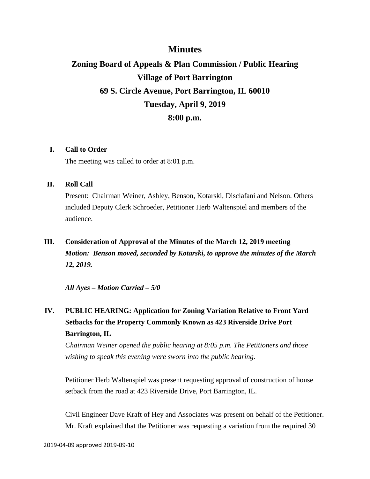## **Minutes**

# **Zoning Board of Appeals & Plan Commission / Public Hearing Village of Port Barrington 69 S. Circle Avenue, Port Barrington, IL 60010 Tuesday, April 9, 2019 8:00 p.m.**

#### **I. Call to Order**

The meeting was called to order at 8:01 p.m.

### **II. Roll Call**

Present: Chairman Weiner, Ashley, Benson, Kotarski, Disclafani and Nelson. Others included Deputy Clerk Schroeder, Petitioner Herb Waltenspiel and members of the audience.

**III. Consideration of Approval of the Minutes of the March 12, 2019 meeting** *Motion: Benson moved, seconded by Kotarski, to approve the minutes of the March 12, 2019.*

*All Ayes – Motion Carried – 5/0*

**IV. PUBLIC HEARING: Application for Zoning Variation Relative to Front Yard Setbacks for the Property Commonly Known as 423 Riverside Drive Port Barrington, IL**

*Chairman Weiner opened the public hearing at 8:05 p.m. The Petitioners and those wishing to speak this evening were sworn into the public hearing.*

Petitioner Herb Waltenspiel was present requesting approval of construction of house setback from the road at 423 Riverside Drive, Port Barrington, IL.

Civil Engineer Dave Kraft of Hey and Associates was present on behalf of the Petitioner. Mr. Kraft explained that the Petitioner was requesting a variation from the required 30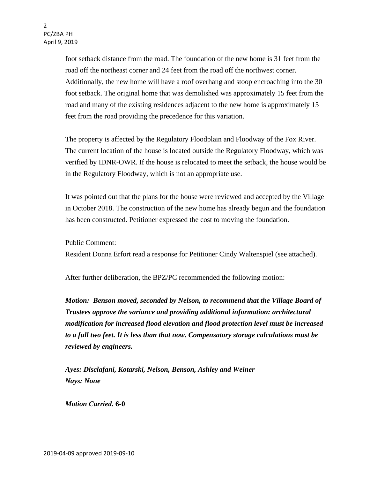foot setback distance from the road. The foundation of the new home is 31 feet from the road off the northeast corner and 24 feet from the road off the northwest corner. Additionally, the new home will have a roof overhang and stoop encroaching into the 30 foot setback. The original home that was demolished was approximately 15 feet from the road and many of the existing residences adjacent to the new home is approximately 15 feet from the road providing the precedence for this variation.

The property is affected by the Regulatory Floodplain and Floodway of the Fox River. The current location of the house is located outside the Regulatory Floodway, which was verified by IDNR-OWR. If the house is relocated to meet the setback, the house would be in the Regulatory Floodway, which is not an appropriate use.

It was pointed out that the plans for the house were reviewed and accepted by the Village in October 2018. The construction of the new home has already begun and the foundation has been constructed. Petitioner expressed the cost to moving the foundation.

Public Comment:

Resident Donna Erfort read a response for Petitioner Cindy Waltenspiel (see attached).

After further deliberation, the BPZ/PC recommended the following motion:

*Motion: Benson moved, seconded by Nelson, to recommend that the Village Board of Trustees approve the variance and providing additional information: architectural modification for increased flood elevation and flood protection level must be increased to a full two feet. It is less than that now. Compensatory storage calculations must be reviewed by engineers.*

*Ayes: Disclafani, Kotarski, Nelson, Benson, Ashley and Weiner Nays: None*

*Motion Carried.* **6-0**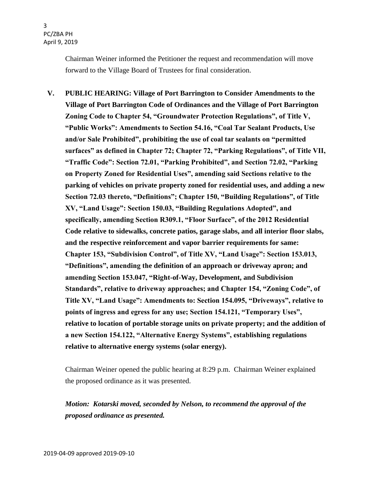Chairman Weiner informed the Petitioner the request and recommendation will move forward to the Village Board of Trustees for final consideration.

**V. PUBLIC HEARING: Village of Port Barrington to Consider Amendments to the Village of Port Barrington Code of Ordinances and the Village of Port Barrington Zoning Code to Chapter 54, "Groundwater Protection Regulations", of Title V, "Public Works": Amendments to Section 54.16, "Coal Tar Sealant Products, Use and/or Sale Prohibited", prohibiting the use of coal tar sealants on "permitted surfaces" as defined in Chapter 72; Chapter 72, "Parking Regulations", of Title VII, "Traffic Code": Section 72.01, "Parking Prohibited", and Section 72.02, "Parking on Property Zoned for Residential Uses", amending said Sections relative to the parking of vehicles on private property zoned for residential uses, and adding a new Section 72.03 thereto, "Definitions"; Chapter 150, "Building Regulations", of Title XV, "Land Usage": Section 150.03, "Building Regulations Adopted", and specifically, amending Section R309.1, "Floor Surface", of the 2012 Residential Code relative to sidewalks, concrete patios, garage slabs, and all interior floor slabs, and the respective reinforcement and vapor barrier requirements for same: Chapter 153, "Subdivision Control", of Title XV, "Land Usage": Section 153.013, "Definitions", amending the definition of an approach or driveway apron; and amending Section 153.047, "Right-of-Way, Development, and Subdivision Standards", relative to driveway approaches; and Chapter 154, "Zoning Code", of Title XV, "Land Usage": Amendments to: Section 154.095, "Driveways", relative to points of ingress and egress for any use; Section 154.121, "Temporary Uses", relative to location of portable storage units on private property; and the addition of a new Section 154.122, "Alternative Energy Systems", establishing regulations relative to alternative energy systems (solar energy).**

Chairman Weiner opened the public hearing at 8:29 p.m. Chairman Weiner explained the proposed ordinance as it was presented.

## *Motion: Kotarski moved, seconded by Nelson, to recommend the approval of the proposed ordinance as presented.*